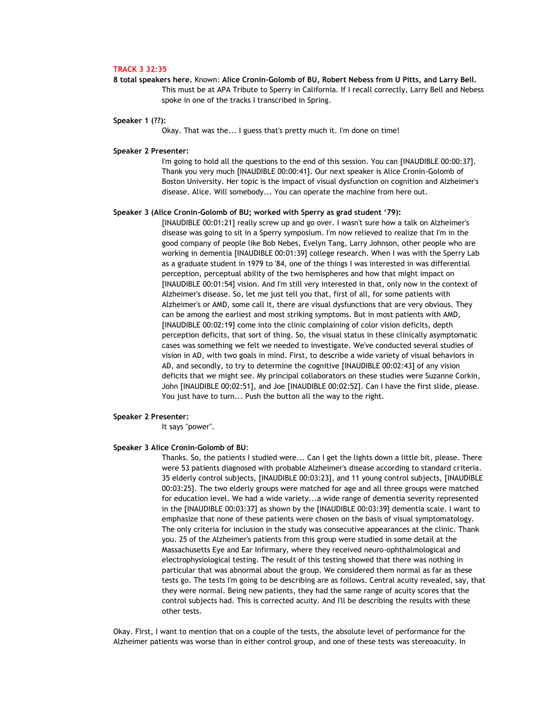# **TRACK 3 32:35**

**8 total speakers here.** Known: **Alice Cronin-Golomb of BU, Robert Nebess from U Pitts, and Larry Bell.**  This must be at APA Tribute to Sperry in California. If I recall correctly, Larry Bell and Nebess spoke in one of the tracks I transcribed in Spring.

## **Speaker 1 (??):**

Okay. That was the... I guess that's pretty much it. I'm done on time!

#### **Speaker 2 Presenter:**

I'm going to hold all the questions to the end of this session. You can [INAUDIBLE 00:00:37]. Thank you very much [INAUDIBLE 00:00:41]. Our next speaker is Alice Cronin-Golomb of Boston University. Her topic is the impact of visual dysfunction on cognition and Alzheimer's disease. Alice. Will somebody... You can operate the machine from here out.

## **Speaker 3 (Alice Cronin-Golomb of BU; worked with Sperry as grad student '79):**

[INAUDIBLE 00:01:21] really screw up and go over. I wasn't sure how a talk on Alzheimer's disease was going to sit in a Sperry symposium. I'm now relieved to realize that I'm in the good company of people like Bob Nebes, Evelyn Tang, Larry Johnson, other people who are working in dementia [INAUDIBLE 00:01:39] college research. When I was with the Sperry Lab as a graduate student in 1979 to '84, one of the things I was interested in was differential perception, perceptual ability of the two hemispheres and how that might impact on [INAUDIBLE 00:01:54] vision. And I'm still very interested in that, only now in the context of Alzheimer's disease. So, let me just tell you that, first of all, for some patients with Alzheimer's or AMD, some call it, there are visual dysfunctions that are very obvious. They can be among the earliest and most striking symptoms. But in most patients with AMD, [INAUDIBLE 00:02:19] come into the clinic complaining of color vision deficits, depth perception deficits, that sort of thing. So, the visual status in these clinically asymptomatic cases was something we felt we needed to investigate. We've conducted several studies of vision in AD, with two goals in mind. First, to describe a wide variety of visual behaviors in AD, and secondly, to try to determine the cognitive [INAUDIBLE 00:02:43] of any vision deficits that we might see. My principal collaborators on these studies were Suzanne Corkin, John [INAUDIBLE 00:02:51], and Joe [INAUDIBLE 00:02:52]. Can I have the first slide, please. You just have to turn... Push the button all the way to the right.

## **Speaker 2 Presenter:**

It says "power".

### **Speaker 3 Alice Cronin-Golomb of BU**:

Thanks. So, the patients I studied were... Can I get the lights down a little bit, please. There were 53 patients diagnosed with probable Alzheimer's disease according to standard criteria. 35 elderly control subjects, [INAUDIBLE 00:03:23], and 11 young control subjects, [INAUDIBLE 00:03:25]. The two elderly groups were matched for age and all three groups were matched for education level. We had a wide variety...a wide range of dementia severity represented in the [INAUDIBLE 00:03:37] as shown by the [INAUDIBLE 00:03:39] dementia scale. I want to emphasize that none of these patients were chosen on the basis of visual symptomatology. The only criteria for inclusion in the study was consecutive appearances at the clinic. Thank you. 25 of the Alzheimer's patients from this group were studied in some detail at the Massachusetts Eye and Ear Infirmary, where they received neuro-ophthalmological and electrophysiological testing. The result of this testing showed that there was nothing in particular that was abnormal about the group. We considered them normal as far as these tests go. The tests I'm going to be describing are as follows. Central acuity revealed, say, that they were normal. Being new patients, they had the same range of acuity scores that the control subjects had. This is corrected acuity. And I'll be describing the results with these other tests.

Okay. First, I want to mention that on a couple of the tests, the absolute level of performance for the Alzheimer patients was worse than in either control group, and one of these tests was stereoacuity. In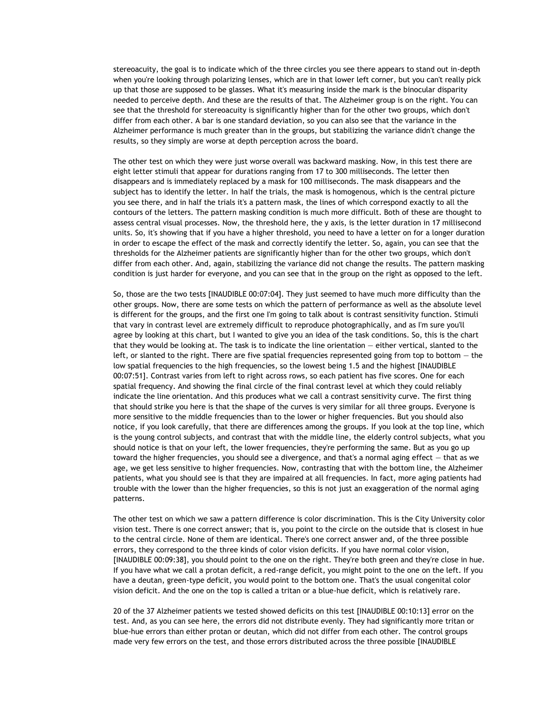stereoacuity, the goal is to indicate which of the three circles you see there appears to stand out in-depth when you're looking through polarizing lenses, which are in that lower left corner, but you can't really pick up that those are supposed to be glasses. What it's measuring inside the mark is the binocular disparity needed to perceive depth. And these are the results of that. The Alzheimer group is on the right. You can see that the threshold for stereoacuity is significantly higher than for the other two groups, which don't differ from each other. A bar is one standard deviation, so you can also see that the variance in the Alzheimer performance is much greater than in the groups, but stabilizing the variance didn't change the results, so they simply are worse at depth perception across the board.

The other test on which they were just worse overall was backward masking. Now, in this test there are eight letter stimuli that appear for durations ranging from 17 to 300 milliseconds. The letter then disappears and is immediately replaced by a mask for 100 milliseconds. The mask disappears and the subject has to identify the letter. In half the trials, the mask is homogenous, which is the central picture you see there, and in half the trials it's a pattern mask, the lines of which correspond exactly to all the contours of the letters. The pattern masking condition is much more difficult. Both of these are thought to assess central visual processes. Now, the threshold here, the y axis, is the letter duration in 17 millisecond units. So, it's showing that if you have a higher threshold, you need to have a letter on for a longer duration in order to escape the effect of the mask and correctly identify the letter. So, again, you can see that the thresholds for the Alzheimer patients are significantly higher than for the other two groups, which don't differ from each other. And, again, stabilizing the variance did not change the results. The pattern masking condition is just harder for everyone, and you can see that in the group on the right as opposed to the left.

So, those are the two tests [INAUDIBLE 00:07:04]. They just seemed to have much more difficulty than the other groups. Now, there are some tests on which the pattern of performance as well as the absolute level is different for the groups, and the first one I'm going to talk about is contrast sensitivity function. Stimuli that vary in contrast level are extremely difficult to reproduce photographically, and as I'm sure you'll agree by looking at this chart, but I wanted to give you an idea of the task conditions. So, this is the chart that they would be looking at. The task is to indicate the line orientation — either vertical, slanted to the left, or slanted to the right. There are five spatial frequencies represented going from top to bottom — the low spatial frequencies to the high frequencies, so the lowest being 1.5 and the highest [INAUDIBLE 00:07:51]. Contrast varies from left to right across rows, so each patient has five scores. One for each spatial frequency. And showing the final circle of the final contrast level at which they could reliably indicate the line orientation. And this produces what we call a contrast sensitivity curve. The first thing that should strike you here is that the shape of the curves is very similar for all three groups. Everyone is more sensitive to the middle frequencies than to the lower or higher frequencies. But you should also notice, if you look carefully, that there are differences among the groups. If you look at the top line, which is the young control subjects, and contrast that with the middle line, the elderly control subjects, what you should notice is that on your left, the lower frequencies, they're performing the same. But as you go up toward the higher frequencies, you should see a divergence, and that's a normal aging effect — that as we age, we get less sensitive to higher frequencies. Now, contrasting that with the bottom line, the Alzheimer patients, what you should see is that they are impaired at all frequencies. In fact, more aging patients had trouble with the lower than the higher frequencies, so this is not just an exaggeration of the normal aging patterns.

The other test on which we saw a pattern difference is color discrimination. This is the City University color vision test. There is one correct answer; that is, you point to the circle on the outside that is closest in hue to the central circle. None of them are identical. There's one correct answer and, of the three possible errors, they correspond to the three kinds of color vision deficits. If you have normal color vision, [INAUDIBLE 00:09:38], you should point to the one on the right. They're both green and they're close in hue. If you have what we call a protan deficit, a red-range deficit, you might point to the one on the left. If you have a deutan, green-type deficit, you would point to the bottom one. That's the usual congenital color vision deficit. And the one on the top is called a tritan or a blue-hue deficit, which is relatively rare.

20 of the 37 Alzheimer patients we tested showed deficits on this test [INAUDIBLE 00:10:13] error on the test. And, as you can see here, the errors did not distribute evenly. They had significantly more tritan or blue-hue errors than either protan or deutan, which did not differ from each other. The control groups made very few errors on the test, and those errors distributed across the three possible [INAUDIBLE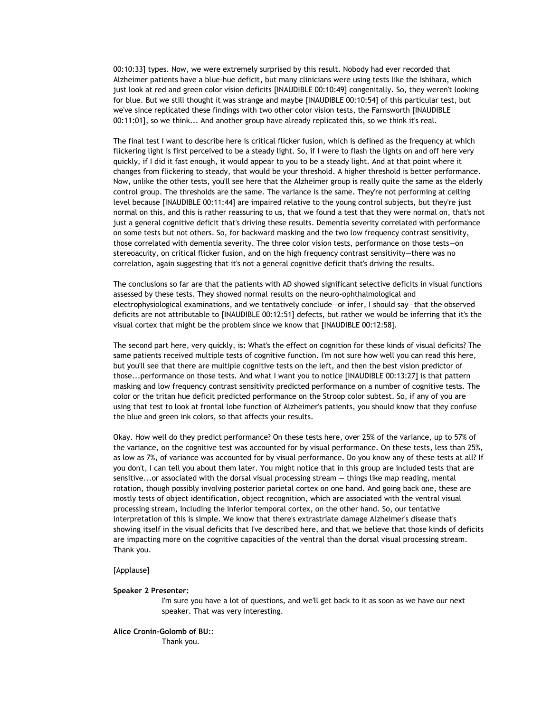00:10:33] types. Now, we were extremely surprised by this result. Nobody had ever recorded that Alzheimer patients have a blue-hue deficit, but many clinicians were using tests like the Ishihara, which just look at red and green color vision deficits [INAUDIBLE 00:10:49] congenitally. So, they weren't looking for blue. But we still thought it was strange and maybe [INAUDIBLE 00:10:54] of this particular test, but we've since replicated these findings with two other color vision tests, the Farnsworth [INAUDIBLE 00:11:01], so we think... And another group have already replicated this, so we think it's real.

The final test I want to describe here is critical flicker fusion, which is defined as the frequency at which flickering light is first perceived to be a steady light. So, if I were to flash the lights on and off here very quickly, if I did it fast enough, it would appear to you to be a steady light. And at that point where it changes from flickering to steady, that would be your threshold. A higher threshold is better performance. Now, unlike the other tests, you'll see here that the Alzheimer group is really quite the same as the elderly control group. The thresholds are the same. The variance is the same. They're not performing at ceiling level because [INAUDIBLE 00:11:44] are impaired relative to the young control subjects, but they're just normal on this, and this is rather reassuring to us, that we found a test that they were normal on, that's not just a general cognitive deficit that's driving these results. Dementia severity correlated with performance on some tests but not others. So, for backward masking and the two low frequency contrast sensitivity, those correlated with dementia severity. The three color vision tests, performance on those tests—on stereoacuity, on critical flicker fusion, and on the high frequency contrast sensitivity—there was no correlation, again suggesting that it's not a general cognitive deficit that's driving the results.

The conclusions so far are that the patients with AD showed significant selective deficits in visual functions assessed by these tests. They showed normal results on the neuro-ophthalmological and electrophysiological examinations, and we tentatively conclude—or infer, I should say—that the observed deficits are not attributable to [INAUDIBLE 00:12:51] defects, but rather we would be inferring that it's the visual cortex that might be the problem since we know that [INAUDIBLE 00:12:58].

The second part here, very quickly, is: What's the effect on cognition for these kinds of visual deficits? The same patients received multiple tests of cognitive function. I'm not sure how well you can read this here, but you'll see that there are multiple cognitive tests on the left, and then the best vision predictor of those...performance on those tests. And what I want you to notice [INAUDIBLE 00:13:27] is that pattern masking and low frequency contrast sensitivity predicted performance on a number of cognitive tests. The color or the tritan hue deficit predicted performance on the Stroop color subtest. So, if any of you are using that test to look at frontal lobe function of Alzheimer's patients, you should know that they confuse the blue and green ink colors, so that affects your results.

Okay. How well do they predict performance? On these tests here, over 25% of the variance, up to 57% of the variance, on the cognitive test was accounted for by visual performance. On these tests, less than 25%, as low as 7%, of variance was accounted for by visual performance. Do you know any of these tests at all? If you don't, I can tell you about them later. You might notice that in this group are included tests that are sensitive...or associated with the dorsal visual processing stream — things like map reading, mental rotation, though possibly involving posterior parietal cortex on one hand. And going back one, these are mostly tests of object identification, object recognition, which are associated with the ventral visual processing stream, including the inferior temporal cortex, on the other hand. So, our tentative interpretation of this is simple. We know that there's extrastriate damage Alzheimer's disease that's showing itself in the visual deficits that I've described here, and that we believe that those kinds of deficits are impacting more on the cognitive capacities of the ventral than the dorsal visual processing stream. Thank you.

## [Applause]

### **Speaker 2 Presenter:**

I'm sure you have a lot of questions, and we'll get back to it as soon as we have our next speaker. That was very interesting.

# **Alice Cronin-Golomb of BU**:: Thank you.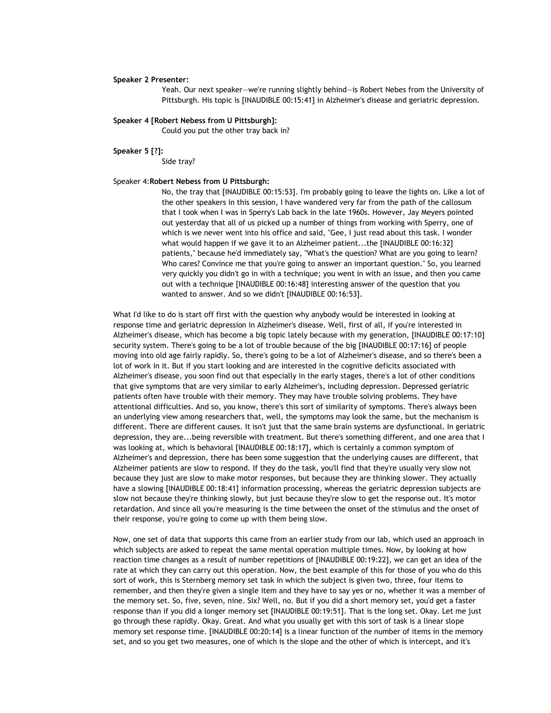### **Speaker 2 Presenter:**

Yeah. Our next speaker—we're running slightly behind—is Robert Nebes from the University of Pittsburgh. His topic is [INAUDIBLE 00:15:41] in Alzheimer's disease and geriatric depression.

## **Speaker 4 [Robert Nebess from U Pittsburgh]:**

Could you put the other tray back in?

**Speaker 5 [?]:**

Side tray?

# Speaker 4:**Robert Nebess from U Pittsburgh:**

No, the tray that [INAUDIBLE 00:15:53]. I'm probably going to leave the lights on. Like a lot of the other speakers in this session, I have wandered very far from the path of the callosum that I took when I was in Sperry's Lab back in the late 1960s. However, Jay Meyers pointed out yesterday that all of us picked up a number of things from working with Sperry, one of which is we never went into his office and said, "Gee, I just read about this task. I wonder what would happen if we gave it to an Alzheimer patient...the [INAUDIBLE 00:16:32] patients," because he'd immediately say, "What's the question? What are you going to learn? Who cares? Convince me that you're going to answer an important question." So, you learned very quickly you didn't go in with a technique; you went in with an issue, and then you came out with a technique [INAUDIBLE 00:16:48] interesting answer of the question that you wanted to answer. And so we didn't [INAUDIBLE 00:16:53].

What I'd like to do is start off first with the question why anybody would be interested in looking at response time and geriatric depression in Alzheimer's disease. Well, first of all, if you're interested in Alzheimer's disease, which has become a big topic lately because with my generation, [INAUDIBLE 00:17:10] security system. There's going to be a lot of trouble because of the big [INAUDIBLE 00:17:16] of people moving into old age fairly rapidly. So, there's going to be a lot of Alzheimer's disease, and so there's been a lot of work in it. But if you start looking and are interested in the cognitive deficits associated with Alzheimer's disease, you soon find out that especially in the early stages, there's a lot of other conditions that give symptoms that are very similar to early Alzheimer's, including depression. Depressed geriatric patients often have trouble with their memory. They may have trouble solving problems. They have attentional difficulties. And so, you know, there's this sort of similarity of symptoms. There's always been an underlying view among researchers that, well, the symptoms may look the same, but the mechanism is different. There are different causes. It isn't just that the same brain systems are dysfunctional. In geriatric depression, they are...being reversible with treatment. But there's something different, and one area that I was looking at, which is behavioral [INAUDIBLE 00:18:17], which is certainly a common symptom of Alzheimer's and depression, there has been some suggestion that the underlying causes are different, that Alzheimer patients are slow to respond. If they do the task, you'll find that they're usually very slow not because they just are slow to make motor responses, but because they are thinking slower. They actually have a slowing [INAUDIBLE 00:18:41] information processing, whereas the geriatric depression subjects are slow not because they're thinking slowly, but just because they're slow to get the response out. It's motor retardation. And since all you're measuring is the time between the onset of the stimulus and the onset of their response, you're going to come up with them being slow.

Now, one set of data that supports this came from an earlier study from our lab, which used an approach in which subjects are asked to repeat the same mental operation multiple times. Now, by looking at how reaction time changes as a result of number repetitions of [INAUDIBLE 00:19:22], we can get an idea of the rate at which they can carry out this operation. Now, the best example of this for those of you who do this sort of work, this is Sternberg memory set task in which the subject is given two, three, four items to remember, and then they're given a single item and they have to say yes or no, whether it was a member of the memory set. So, five, seven, nine. Six? Well, no. But if you did a short memory set, you'd get a faster response than if you did a longer memory set [INAUDIBLE 00:19:51]. That is the long set. Okay. Let me just go through these rapidly. Okay. Great. And what you usually get with this sort of task is a linear slope memory set response time. [INAUDIBLE 00:20:14] is a linear function of the number of items in the memory set, and so you get two measures, one of which is the slope and the other of which is intercept, and it's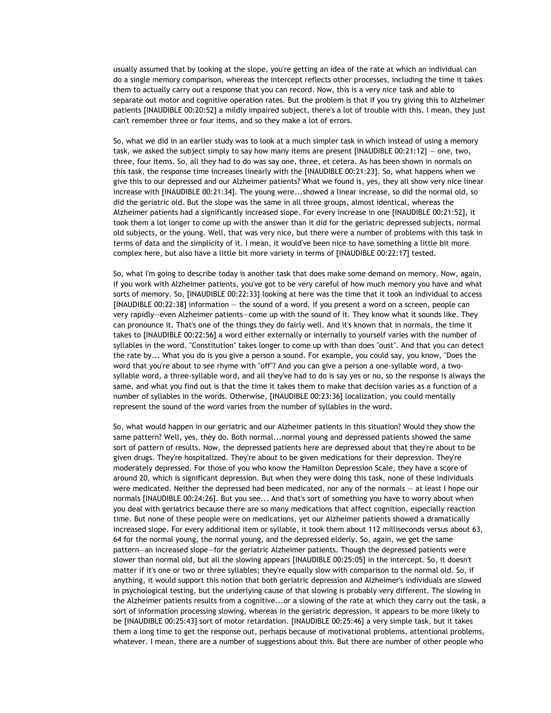usually assumed that by looking at the slope, you're getting an idea of the rate at which an individual can do a single memory comparison, whereas the intercept reflects other processes, including the time it takes them to actually carry out a response that you can record. Now, this is a very nice task and able to separate out motor and cognitive operation rates. But the problem is that if you try giving this to Alzheimer patients [INAUDIBLE 00:20:52] a mildly impaired subject, there's a lot of trouble with this. I mean, they just can't remember three or four items, and so they make a lot of errors.

So, what we did in an earlier study was to look at a much simpler task in which instead of using a memory task, we asked the subject simply to say how many items are present [INAUDIBLE 00:21:12] — one, two, three, four items. So, all they had to do was say one, three, et cetera. As has been shown in normals on this task, the response time increases linearly with the [INAUDIBLE 00:21:23]. So, what happens when we give this to our depressed and our Alzheimer patients? What we found is, yes, they all show very nice linear increase with [INAUDIBLE 00:21:34]. The young were...showed a linear increase, so did the normal old, so did the geriatric old. But the slope was the same in all three groups, almost identical, whereas the Alzheimer patients had a significantly increased slope. For every increase in one [INAUDIBLE 00:21:52], it took them a lot longer to come up with the answer than it did for the geriatric depressed subjects, normal old subjects, or the young. Well, that was very nice, but there were a number of problems with this task in terms of data and the simplicity of it. I mean, it would've been nice to have something a little bit more complex here, but also have a little bit more variety in terms of [INAUDIBLE 00:22:17] tested.

So, what I'm going to describe today is another task that does make some demand on memory. Now, again, if you work with Alzheimer patients, you've got to be very careful of how much memory you have and what sorts of memory. So, [INAUDIBLE 00:22:33] looking at here was the time that it took an individual to access [INAUDIBLE 00:22:38] information — the sound of a word. If you present a word on a screen, people can very rapidly—even Alzheimer patients—come up with the sound of it. They know what it sounds like. They can pronounce it. That's one of the things they do fairly well. And it's known that in normals, the time it takes to [INAUDIBLE 00:22:56] a word either externally or internally to yourself varies with the number of syllables in the word. "Constitution" takes longer to come up with than does "oust". And that you can detect the rate by... What you do is you give a person a sound. For example, you could say, you know, "Does the word that you're about to see rhyme with "off"? And you can give a person a one-syllable word, a twosyllable word, a three-syllable word, and all they've had to do is say yes or no, so the response is always the same, and what you find out is that the time it takes them to make that decision varies as a function of a number of syllables in the words. Otherwise, [INAUDIBLE 00:23:36] localization, you could mentally represent the sound of the word varies from the number of syllables in the word.

So, what would happen in our geriatric and our Alzheimer patients in this situation? Would they show the same pattern? Well, yes, they do. Both normal...normal young and depressed patients showed the same sort of pattern of results. Now, the depressed patients here are depressed about that they're about to be given drugs. They're hospitalized. They're about to be given medications for their depression. They're moderately depressed. For those of you who know the Hamilton Depression Scale, they have a score of around 20, which is significant depression. But when they were doing this task, none of these individuals were medicated. Neither the depressed had been medicated, nor any of the normals — at least I hope our normals [INAUDIBLE 00:24:26]. But you see... And that's sort of something you have to worry about when you deal with geriatrics because there are so many medications that affect cognition, especially reaction time. But none of these people were on medications, yet our Alzheimer patients showed a dramatically increased slope. For every additional item or syllable, it took them about 112 milliseconds versus about 63, 64 for the normal young, the normal young, and the depressed elderly. So, again, we get the same pattern—an increased slope—for the geriatric Alzheimer patients. Though the depressed patients were slower than normal old, but all the slowing appears [INAUDIBLE 00:25:05] in the intercept. So, it doesn't matter if it's one or two or three syllables; they're equally slow with comparison to the normal old. So, if anything, it would support this notion that both geriatric depression and Alzheimer's individuals are slowed in psychological testing, but the underlying cause of that slowing is probably very different. The slowing in the Alzheimer patients results from a cognitive...or a slowing of the rate at which they carry out the task, a sort of information processing slowing, whereas in the geriatric depression, it appears to be more likely to be [INAUDIBLE 00:25:43] sort of motor retardation. [INAUDIBLE 00:25:46] a very simple task, but it takes them a long time to get the response out, perhaps because of motivational problems, attentional problems, whatever. I mean, there are a number of suggestions about this. But there are number of other people who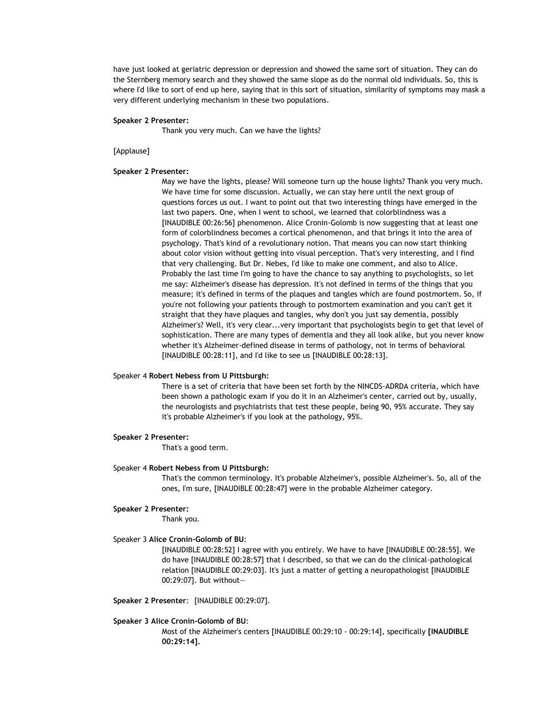have just looked at geriatric depression or depression and showed the same sort of situation. They can do the Sternberg memory search and they showed the same slope as do the normal old individuals. So, this is where I'd like to sort of end up here, saying that in this sort of situation, similarity of symptoms may mask a very different underlying mechanism in these two populations.

### **Speaker 2 Presenter:**

Thank you very much. Can we have the lights?

#### [Applause]

## **Speaker 2 Presenter:**

May we have the lights, please? Will someone turn up the house lights? Thank you very much. We have time for some discussion. Actually, we can stay here until the next group of questions forces us out. I want to point out that two interesting things have emerged in the last two papers. One, when I went to school, we learned that colorblindness was a [INAUDIBLE 00:26:56] phenomenon. Alice Cronin-Golomb is now suggesting that at least one form of colorblindness becomes a cortical phenomenon, and that brings it into the area of psychology. That's kind of a revolutionary notion. That means you can now start thinking about color vision without getting into visual perception. That's very interesting, and I find that very challenging. But Dr. Nebes, I'd like to make one comment, and also to Alice. Probably the last time I'm going to have the chance to say anything to psychologists, so let me say: Alzheimer's disease has depression. It's not defined in terms of the things that you measure; it's defined in terms of the plaques and tangles which are found postmortem. So, if you're not following your patients through to postmortem examination and you can't get it straight that they have plaques and tangles, why don't you just say dementia, possibly Alzheimer's? Well, it's very clear...very important that psychologists begin to get that level of sophistication. There are many types of dementia and they all look alike, but you never know whether it's Alzheimer-defined disease in terms of pathology, not in terms of behavioral [INAUDIBLE 00:28:11], and I'd like to see us [INAUDIBLE 00:28:13].

## Speaker 4 **Robert Nebess from U Pittsburgh:**

There is a set of criteria that have been set forth by the NINCDS-ADRDA criteria, which have been shown a pathologic exam if you do it in an Alzheimer's center, carried out by, usually, the neurologists and psychiatrists that test these people, being 90, 95% accurate. They say it's probable Alzheimer's if you look at the pathology, 95%.

#### **Speaker 2 Presenter:**

That's a good term.

### Speaker 4 **Robert Nebess from U Pittsburgh:**

That's the common terminology. It's probable Alzheimer's, possible Alzheimer's. So, all of the ones, I'm sure, [INAUDIBLE 00:28:47] were in the probable Alzheimer category.

## **Speaker 2 Presenter:**

Thank you.

## Speaker 3 **Alice Cronin-Golomb of BU**:

[INAUDIBLE 00:28:52] I agree with you entirely. We have to have [INAUDIBLE 00:28:55]. We do have [INAUDIBLE 00:28:57] that I described, so that we can do the clinical-pathological relation [INAUDIBLE 00:29:03]. It's just a matter of getting a neuropathologist [INAUDIBLE 00:29:07]. But without—

**Speaker 2 Presenter**: [INAUDIBLE 00:29:07].

#### **Speaker 3 Alice Cronin-Golomb of BU**:

Most of the Alzheimer's centers [INAUDIBLE 00:29:10 - 00:29:14], specifically **[INAUDIBLE 00:29:14].**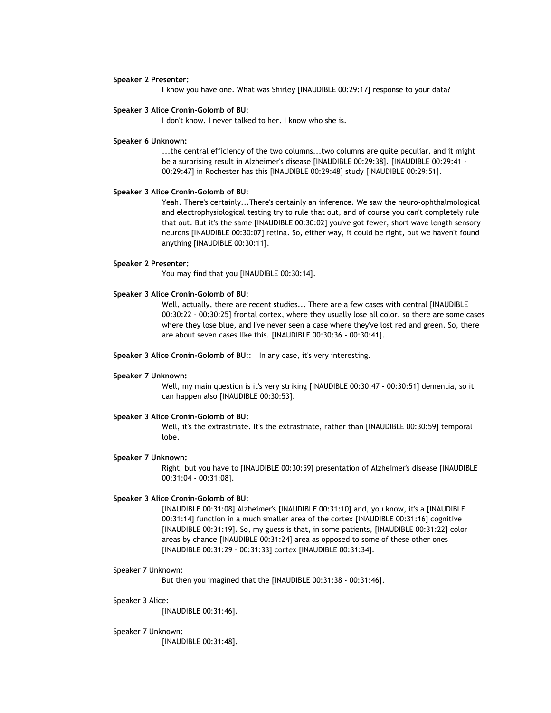## **Speaker 2 Presenter:**

**I** know you have one. What was Shirley [INAUDIBLE 00:29:17] response to your data?

## **Speaker 3 Alice Cronin-Golomb of BU**:

I don't know. I never talked to her. I know who she is.

## **Speaker 6 Unknown:**

...the central efficiency of the two columns...two columns are quite peculiar, and it might be a surprising result in Alzheimer's disease [INAUDIBLE 00:29:38]. [INAUDIBLE 00:29:41 - 00:29:47] in Rochester has this [INAUDIBLE 00:29:48] study [INAUDIBLE 00:29:51].

## **Speaker 3 Alice Cronin-Golomb of BU**:

Yeah. There's certainly...There's certainly an inference. We saw the neuro-ophthalmological and electrophysiological testing try to rule that out, and of course you can't completely rule that out. But it's the same [INAUDIBLE 00:30:02] you've got fewer, short wave length sensory neurons [INAUDIBLE 00:30:07] retina. So, either way, it could be right, but we haven't found anything [INAUDIBLE 00:30:11].

## **Speaker 2 Presenter:**

You may find that you [INAUDIBLE 00:30:14].

## **Speaker 3 Alice Cronin-Golomb of BU**:

Well, actually, there are recent studies... There are a few cases with central [INAUDIBLE 00:30:22 - 00:30:25] frontal cortex, where they usually lose all color, so there are some cases where they lose blue, and I've never seen a case where they've lost red and green. So, there are about seven cases like this. [INAUDIBLE 00:30:36 - 00:30:41].

**Speaker 3 Alice Cronin-Golomb of BU**:: In any case, it's very interesting.

#### **Speaker 7 Unknown:**

Well, my main question is it's very striking [INAUDIBLE 00:30:47 - 00:30:51] dementia, so it can happen also [INAUDIBLE 00:30:53].

## **Speaker 3 Alice Cronin-Golomb of BU:**

Well, it's the extrastriate. It's the extrastriate, rather than [INAUDIBLE 00:30:59] temporal lobe.

#### **Speaker 7 Unknown:**

Right, but you have to [INAUDIBLE 00:30:59] presentation of Alzheimer's disease [INAUDIBLE 00:31:04 - 00:31:08].

## **Speaker 3 Alice Cronin-Golomb of BU**:

[INAUDIBLE 00:31:08] Alzheimer's [INAUDIBLE 00:31:10] and, you know, it's a [INAUDIBLE 00:31:14] function in a much smaller area of the cortex [INAUDIBLE 00:31:16] cognitive [INAUDIBLE 00:31:19]. So, my guess is that, in some patients, [INAUDIBLE 00:31:22] color areas by chance [INAUDIBLE 00:31:24] area as opposed to some of these other ones [INAUDIBLE 00:31:29 - 00:31:33] cortex [INAUDIBLE 00:31:34].

### Speaker 7 Unknown:

But then you imagined that the [INAUDIBLE 00:31:38 - 00:31:46].

#### Speaker 3 Alice:

[INAUDIBLE 00:31:46].

#### Speaker 7 Unknown:

[INAUDIBLE 00:31:48].